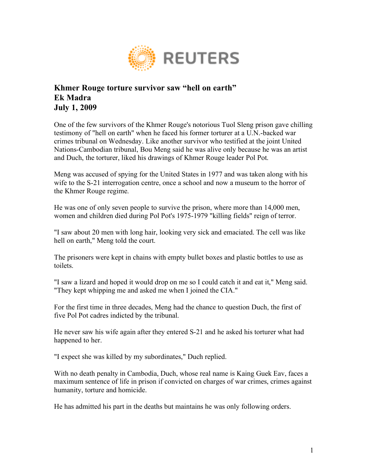

## **Khmer Rouge torture survivor saw "hell on earth" Ek Madra July 1, 2009**

One of the few survivors of the Khmer Rouge's notorious Tuol Sleng prison gave chilling testimony of "hell on earth" when he faced his former torturer at a U.N.-backed war crimes tribunal on Wednesday. Like another survivor who testified at the joint United Nations-Cambodian tribunal, Bou Meng said he was alive only because he was an artist and Duch, the torturer, liked his drawings of Khmer Rouge leader Pol Pot.

Meng was accused of spying for the United States in 1977 and was taken along with his wife to the S-21 interrogation centre, once a school and now a museum to the horror of the Khmer Rouge regime.

He was one of only seven people to survive the prison, where more than 14,000 men, women and children died during Pol Pot's 1975-1979 "killing fields" reign of terror.

"I saw about 20 men with long hair, looking very sick and emaciated. The cell was like hell on earth," Meng told the court.

The prisoners were kept in chains with empty bullet boxes and plastic bottles to use as toilets.

"I saw a lizard and hoped it would drop on me so I could catch it and eat it," Meng said. "They kept whipping me and asked me when I joined the CIA."

For the first time in three decades, Meng had the chance to question Duch, the first of five Pol Pot cadres indicted by the tribunal.

He never saw his wife again after they entered S-21 and he asked his torturer what had happened to her.

"I expect she was killed by my subordinates," Duch replied.

With no death penalty in Cambodia, Duch, whose real name is Kaing Guek Eav, faces a maximum sentence of life in prison if convicted on charges of war crimes, crimes against humanity, torture and homicide.

He has admitted his part in the deaths but maintains he was only following orders.